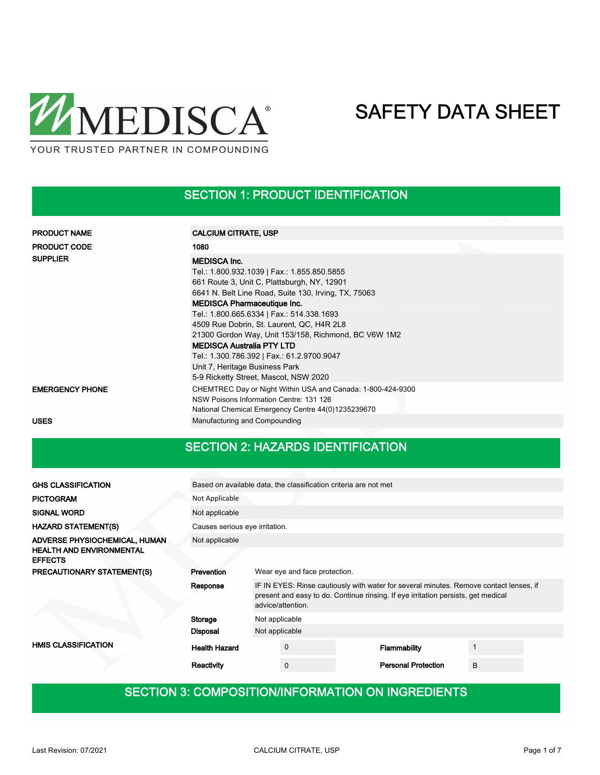

#### SECTION 1: PRODUCT IDENTIFICATION

| <b>PRODUCT NAME</b>    | <b>CALCIUM CITRATE, USP</b>                                                                                                                                                                                                                                                                                                                                                                                                                                                                                                    |  |
|------------------------|--------------------------------------------------------------------------------------------------------------------------------------------------------------------------------------------------------------------------------------------------------------------------------------------------------------------------------------------------------------------------------------------------------------------------------------------------------------------------------------------------------------------------------|--|
| <b>PRODUCT CODE</b>    | 1080                                                                                                                                                                                                                                                                                                                                                                                                                                                                                                                           |  |
| <b>SUPPLIER</b>        | <b>MEDISCA Inc.</b><br>Tel.: 1.800.932.1039   Fax.: 1.855.850.5855<br>661 Route 3, Unit C, Plattsburgh, NY, 12901<br>6641 N. Belt Line Road, Suite 130, Irving, TX, 75063<br><b>MEDISCA Pharmaceutique Inc.</b><br>Tel.: 1.800.665.6334   Fax.: 514.338.1693<br>4509 Rue Dobrin, St. Laurent, QC, H4R 2L8<br>21300 Gordon Way, Unit 153/158, Richmond, BC V6W 1M2<br><b>MEDISCA Australia PTY LTD</b><br>Tel.: 1.300.786.392   Fax.: 61.2.9700.9047<br>Unit 7, Heritage Business Park<br>5-9 Ricketty Street, Mascot, NSW 2020 |  |
| <b>EMERGENCY PHONE</b> | CHEMTREC Day or Night Within USA and Canada: 1-800-424-9300<br>NSW Poisons Information Centre: 131 126<br>National Chemical Emergency Centre 44(0)1235239670                                                                                                                                                                                                                                                                                                                                                                   |  |
| <b>USES</b>            | Manufacturing and Compounding                                                                                                                                                                                                                                                                                                                                                                                                                                                                                                  |  |

#### SECTION 2: HAZARDS IDENTIFICATION

| <b>GHS CLASSIFICATION</b>                         |                                | Based on available data, the classification criteria are not met                                                                                                                                 |             |  |                            |   |  |  |  |  |
|---------------------------------------------------|--------------------------------|--------------------------------------------------------------------------------------------------------------------------------------------------------------------------------------------------|-------------|--|----------------------------|---|--|--|--|--|
| <b>PICTOGRAM</b>                                  | Not Applicable                 |                                                                                                                                                                                                  |             |  |                            |   |  |  |  |  |
| <b>SIGNAL WORD</b>                                | Not applicable                 |                                                                                                                                                                                                  |             |  |                            |   |  |  |  |  |
| <b>HAZARD STATEMENT(S)</b>                        | Causes serious eye irritation. |                                                                                                                                                                                                  |             |  |                            |   |  |  |  |  |
| ADVERSE PHYSIOCHEMICAL, HUMAN                     | Not applicable                 |                                                                                                                                                                                                  |             |  |                            |   |  |  |  |  |
| <b>HEALTH AND ENVIRONMENTAL</b><br><b>EFFECTS</b> |                                |                                                                                                                                                                                                  |             |  |                            |   |  |  |  |  |
| <b>PRECAUTIONARY STATEMENT(S)</b>                 | Prevention                     | Wear eye and face protection.                                                                                                                                                                    |             |  |                            |   |  |  |  |  |
|                                                   | Response                       | IF IN EYES: Rinse cautiously with water for several minutes. Remove contact lenses, if<br>present and easy to do. Continue rinsing. If eye irritation persists, get medical<br>advice/attention. |             |  |                            |   |  |  |  |  |
|                                                   | Storage<br>Not applicable      |                                                                                                                                                                                                  |             |  |                            |   |  |  |  |  |
|                                                   | <b>Disposal</b>                | Not applicable                                                                                                                                                                                   |             |  |                            |   |  |  |  |  |
| <b>HMIS CLASSIFICATION</b>                        | <b>Health Hazard</b>           |                                                                                                                                                                                                  | 0           |  | Flammability               |   |  |  |  |  |
|                                                   | Reactivity                     |                                                                                                                                                                                                  | $\mathbf 0$ |  | <b>Personal Protection</b> | B |  |  |  |  |

#### SECTION 3: COMPOSITION/INFORMATION ON INGREDIENTS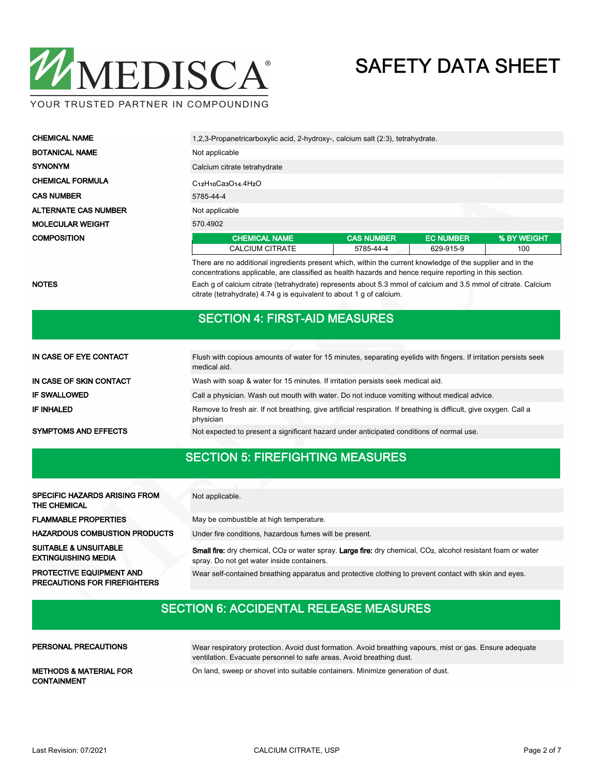

| <b>CHEMICAL NAME</b>        | 1,2,3-Propanetricarboxylic acid, 2-hydroxy-, calcium salt (2:3), tetrahydrate. |                   |                  |             |  |  |  |  |  |
|-----------------------------|--------------------------------------------------------------------------------|-------------------|------------------|-------------|--|--|--|--|--|
| <b>BOTANICAL NAME</b>       | Not applicable                                                                 |                   |                  |             |  |  |  |  |  |
| <b>SYNONYM</b>              | Calcium citrate tetrahydrate                                                   |                   |                  |             |  |  |  |  |  |
| <b>CHEMICAL FORMULA</b>     | ◡<br>$C12H10C33O14.4H2O$                                                       |                   |                  |             |  |  |  |  |  |
| <b>CAS NUMBER</b>           | 5785-44-4                                                                      |                   |                  |             |  |  |  |  |  |
| <b>ALTERNATE CAS NUMBER</b> | Not applicable                                                                 |                   |                  |             |  |  |  |  |  |
| <b>MOLECULAR WEIGHT</b>     | 570.4902                                                                       |                   |                  |             |  |  |  |  |  |
| <b>COMPOSITION</b>          | <b>CHEMICAL NAME</b>                                                           | <b>CAS NUMBER</b> | <b>EC NUMBER</b> | % BY WEIGHT |  |  |  |  |  |
|                             | CALCIUM CITRATE                                                                | 5785-44-4         | 629-915-9        | 100         |  |  |  |  |  |

There are no additional ingredients present which, within the current knowledge of the supplier and in the concentrations applicable, are classified as health hazards and hence require reporting in this section. NOTES **Each g of calcium citrate (tetrahydrate)** represents about 5.3 mmol of calcium and 3.5 mmol of citrate. Calcium citrate (tetrahydrate) 4.74 g is equivalent to about 1 g of calcium.

#### SECTION 4: FIRST-AID MEASURES

| IN CASE OF EYE CONTACT      | Flush with copious amounts of water for 15 minutes, separating eyelids with fingers. If irritation persists seek<br>medical aid. |
|-----------------------------|----------------------------------------------------------------------------------------------------------------------------------|
| IN CASE OF SKIN CONTACT     | Wash with soap & water for 15 minutes. If irritation persists seek medical aid.                                                  |
| <b>IF SWALLOWED</b>         | Call a physician. Wash out mouth with water. Do not induce vomiting without medical advice.                                      |
| IF INHALED                  | Remove to fresh air. If not breathing, give artificial respiration. If breathing is difficult, give oxygen. Call a<br>physician  |
| <b>SYMPTOMS AND EFFECTS</b> | Not expected to present a significant hazard under anticipated conditions of normal use.                                         |

### SECTION 5: FIREFIGHTING MEASURES

| <b>SPECIFIC HAZARDS ARISING FROM</b><br><b>THE CHEMICAL</b>            | Not applicable.                                                                                                                                                                     |
|------------------------------------------------------------------------|-------------------------------------------------------------------------------------------------------------------------------------------------------------------------------------|
| <b>FLAMMABLE PROPERTIES</b>                                            | May be combustible at high temperature.                                                                                                                                             |
| <b>HAZARDOUS COMBUSTION PRODUCTS</b>                                   | Under fire conditions, hazardous fumes will be present.                                                                                                                             |
| <b>SUITABLE &amp; UNSUITABLE</b><br><b>EXTINGUISHING MEDIA</b>         | Small fire: dry chemical, CO <sub>2</sub> or water spray. Large fire: dry chemical, CO <sub>2</sub> , alcohol resistant foam or water<br>spray. Do not get water inside containers. |
| <b>PROTECTIVE EQUIPMENT AND</b><br><b>PRECAUTIONS FOR FIREFIGHTERS</b> | Wear self-contained breathing apparatus and protective clothing to prevent contact with skin and eyes.                                                                              |

## SECTION 6: ACCIDENTAL RELEASE MEASURES

| <b>PERSONAL PRECAUTIONS</b>                             | Wear respiratory protection. Avoid dust formation. Avoid breathing vapours, mist or gas. Ensure adequate<br>ventilation. Evacuate personnel to safe areas. Avoid breathing dust. |
|---------------------------------------------------------|----------------------------------------------------------------------------------------------------------------------------------------------------------------------------------|
| <b>METHODS &amp; MATERIAL FOR</b><br><b>CONTAINMENT</b> | On land, sweep or shovel into suitable containers. Minimize generation of dust.                                                                                                  |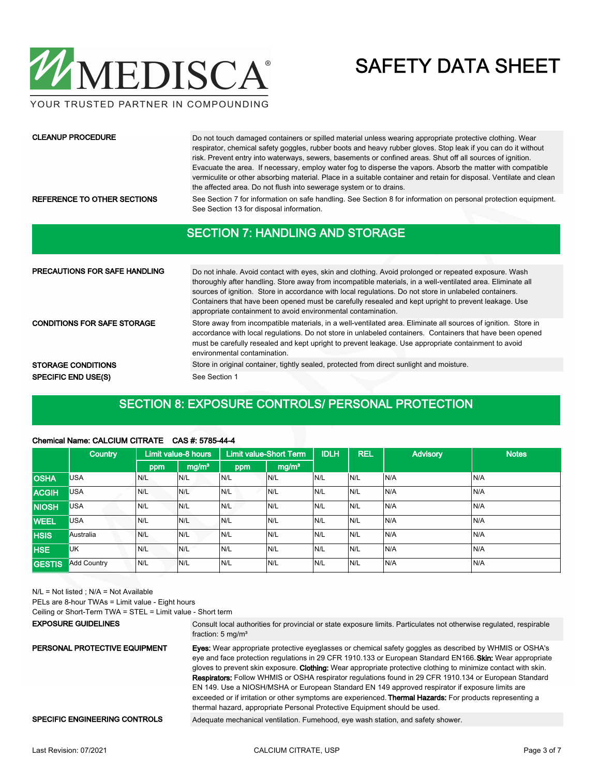

YOUR TRUSTED PARTNER IN COMPOUNDING

#### CLEANUP PROCEDURE

Do not touch damaged containers or spilled material unless wearing appropriate protective clothing. Wear respirator, chemical safety goggles, rubber boots and heavy rubber gloves. Stop leak if you can do it without risk. Prevent entry into waterways, sewers, basements or confined areas. Shut off all sources of ignition. Evacuate the area. If necessary, employ water fog to disperse the vapors. Absorb the matter with compatible vermiculite or other absorbing material. Place in a suitable container and retain for disposal. Ventilate and clean the affected area. Do not flush into sewerage system or to drains.

REFERENCE TO OTHER SECTIONS See Section 7 for information on safe handling. See Section 8 for information on personal protection equipment. See Section 13 for disposal information.

#### SECTION 7: HANDLING AND STORAGE

| <b>PRECAUTIONS FOR SAFE HANDLING</b> | Do not inhale. Avoid contact with eyes, skin and clothing. Avoid prolonged or repeated exposure. Wash<br>thoroughly after handling. Store away from incompatible materials, in a well-ventilated area. Eliminate all<br>sources of ignition. Store in accordance with local regulations. Do not store in unlabeled containers.<br>Containers that have been opened must be carefully resealed and kept upright to prevent leakage. Use<br>appropriate containment to avoid environmental contamination. |
|--------------------------------------|---------------------------------------------------------------------------------------------------------------------------------------------------------------------------------------------------------------------------------------------------------------------------------------------------------------------------------------------------------------------------------------------------------------------------------------------------------------------------------------------------------|
| <b>CONDITIONS FOR SAFE STORAGE</b>   | Store away from incompatible materials, in a well-ventilated area. Eliminate all sources of ignition. Store in<br>accordance with local regulations. Do not store in unlabeled containers. Containers that have been opened<br>must be carefully resealed and kept upright to prevent leakage. Use appropriate containment to avoid<br>environmental contamination.                                                                                                                                     |
| <b>STORAGE CONDITIONS</b>            | Store in original container, tightly sealed, protected from direct sunlight and moisture.                                                                                                                                                                                                                                                                                                                                                                                                               |
| <b>SPECIFIC END USE(S)</b>           | See Section 1                                                                                                                                                                                                                                                                                                                                                                                                                                                                                           |

#### SECTION 8: EXPOSURE CONTROLS/ PERSONAL PROTECTION

#### Chemical Name: CALCIUM CITRATE CAS #: 5785-44-4

|               | <b>Country</b>     |     | Limit value-8 hours |     | <b>Limit value-Short Term</b> | <b>IDLH</b> | <b>REL</b> | <b>Advisory</b> | <b>Notes</b> |
|---------------|--------------------|-----|---------------------|-----|-------------------------------|-------------|------------|-----------------|--------------|
|               |                    | ppm | mg/m <sup>3</sup>   | ppm | mg/m <sup>3</sup>             |             |            |                 |              |
| <b>OSHA</b>   | <b>USA</b>         | N/L | N/L                 | N/L | N/L                           | N/L         | N/L        | N/A             | N/A          |
| <b>ACGIH</b>  | <b>USA</b>         | N/L | N/L                 | N/L | N/L                           | N/L         | N/L        | N/A             | N/A          |
| <b>NIOSH</b>  | <b>USA</b>         | N/L | N/L                 | N/L | N/L                           | N/L         | N/L        | N/A             | N/A          |
| <b>WEEL</b>   | <b>USA</b>         | N/L | N/L                 | N/L | N/L                           | N/L         | N/L        | N/A             | N/A          |
| <b>HSIS</b>   | Australia          | N/L | N/L                 | N/L | N/L                           | N/L         | N/L        | N/A             | N/A          |
| <b>HSE</b>    | <b>UK</b>          | N/L | N/L                 | N/L | N/L                           | N/L         | N/L        | N/A             | N/A          |
| <b>GESTIS</b> | <b>Add Country</b> | N/L | N/L                 | N/L | N/L                           | N/L         | N/L        | N/A             | N/A          |

N/L = Not listed ; N/A = Not Available

PELs are 8-hour TWAs = Limit value - Eight hours

Ceiling or Short-Term TWA = STEL = Limit value - Short term

#### EXPOSURE GUIDELINES

Consult local authorities for provincial or state exposure limits. Particulates not otherwise regulated, respirable fraction: 5 mg/m<sup>3</sup>

Eyes: Wear appropriate protective eyeglasses or chemical safety goggles as described by WHMIS or OSHA's eye and face protection regulations in 29 CFR 1910.133 or European Standard EN166. Skin: Wear appropriate gloves to prevent skin exposure. Clothing: Wear appropriate protective clothing to minimize contact with skin. Respirators: Follow WHMIS or OSHA respirator regulations found in 29 CFR 1910.134 or European Standard EN 149. Use a NIOSH/MSHA or European Standard EN 149 approved respirator if exposure limits are exceeded or if irritation or other symptoms are experienced. Thermal Hazards: For products representing a thermal hazard, appropriate Personal Protective Equipment should be used. PERSONAL PROTECTIVE EQUIPMENT

#### SPECIFIC ENGINEERING CONTROLS Adequate mechanical ventilation. Fumehood, eye wash station, and safety shower.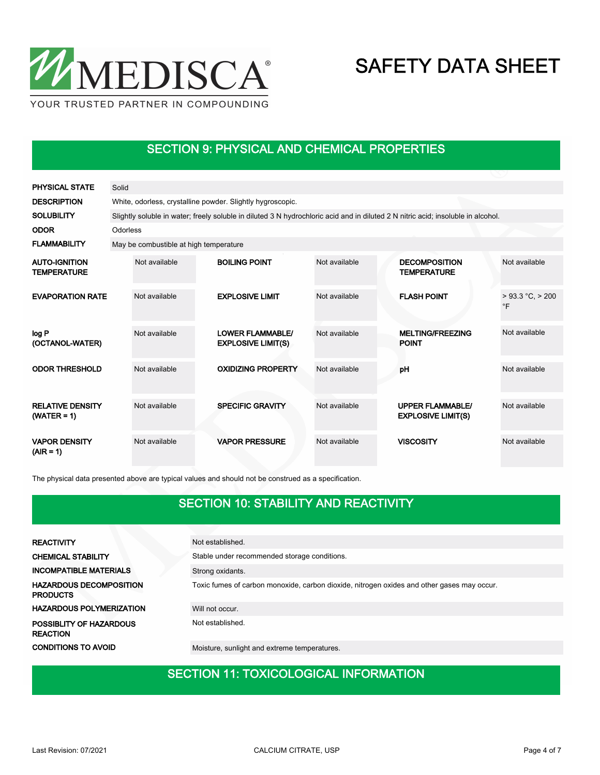

### SECTION 9: PHYSICAL AND CHEMICAL PROPERTIES

| <b>PHYSICAL STATE</b>                      | Solid    |                                                                                                                                  |  |                                                      |               |  |                                                      |                                    |  |  |  |  |
|--------------------------------------------|----------|----------------------------------------------------------------------------------------------------------------------------------|--|------------------------------------------------------|---------------|--|------------------------------------------------------|------------------------------------|--|--|--|--|
| <b>DESCRIPTION</b>                         |          | White, odorless, crystalline powder. Slightly hygroscopic.                                                                       |  |                                                      |               |  |                                                      |                                    |  |  |  |  |
| <b>SOLUBILITY</b>                          |          | Slightly soluble in water; freely soluble in diluted 3 N hydrochloric acid and in diluted 2 N nitric acid; insoluble in alcohol. |  |                                                      |               |  |                                                      |                                    |  |  |  |  |
| <b>ODOR</b>                                | Odorless |                                                                                                                                  |  |                                                      |               |  |                                                      |                                    |  |  |  |  |
| <b>FLAMMABILITY</b>                        |          | May be combustible at high temperature                                                                                           |  |                                                      |               |  |                                                      |                                    |  |  |  |  |
| <b>AUTO-IGNITION</b><br><b>TEMPERATURE</b> |          | Not available                                                                                                                    |  | <b>BOILING POINT</b>                                 | Not available |  | <b>DECOMPOSITION</b><br><b>TEMPERATURE</b>           | Not available                      |  |  |  |  |
| <b>EVAPORATION RATE</b>                    |          | Not available                                                                                                                    |  | <b>EXPLOSIVE LIMIT</b>                               | Not available |  | <b>FLASH POINT</b>                                   | $> 93.3 °C$ , $> 200$<br>$\circ$ F |  |  |  |  |
| log P<br>(OCTANOL-WATER)                   |          | Not available                                                                                                                    |  | <b>LOWER FLAMMABLE/</b><br><b>EXPLOSIVE LIMIT(S)</b> | Not available |  | <b>MELTING/FREEZING</b><br><b>POINT</b>              | Not available                      |  |  |  |  |
| <b>ODOR THRESHOLD</b>                      |          | Not available                                                                                                                    |  | <b>OXIDIZING PROPERTY</b>                            | Not available |  | pH                                                   | Not available                      |  |  |  |  |
| <b>RELATIVE DENSITY</b><br>$(WATER = 1)$   |          | Not available                                                                                                                    |  | <b>SPECIFIC GRAVITY</b>                              | Not available |  | <b>UPPER FLAMMABLE/</b><br><b>EXPLOSIVE LIMIT(S)</b> | Not available                      |  |  |  |  |
| <b>VAPOR DENSITY</b><br>$(AIR = 1)$        |          | Not available                                                                                                                    |  | <b>VAPOR PRESSURE</b>                                | Not available |  | <b>VISCOSITY</b>                                     | Not available                      |  |  |  |  |

The physical data presented above are typical values and should not be construed as a specification.

### SECTION 10: STABILITY AND REACTIVITY

| <b>REACTIVITY</b>                                 | Not established.                                                                           |
|---------------------------------------------------|--------------------------------------------------------------------------------------------|
| <b>CHEMICAL STABILITY</b>                         | Stable under recommended storage conditions.                                               |
| <b>INCOMPATIBLE MATERIALS</b>                     | Strong oxidants.                                                                           |
| <b>HAZARDOUS DECOMPOSITION</b><br><b>PRODUCTS</b> | Toxic fumes of carbon monoxide, carbon dioxide, nitrogen oxides and other gases may occur. |
| <b>HAZARDOUS POLYMERIZATION</b>                   | Will not occur.                                                                            |
| POSSIBLITY OF HAZARDOUS<br><b>REACTION</b>        | Not established.                                                                           |
| <b>CONDITIONS TO AVOID</b>                        | Moisture, sunlight and extreme temperatures.                                               |

#### SECTION 11: TOXICOLOGICAL INFORMATION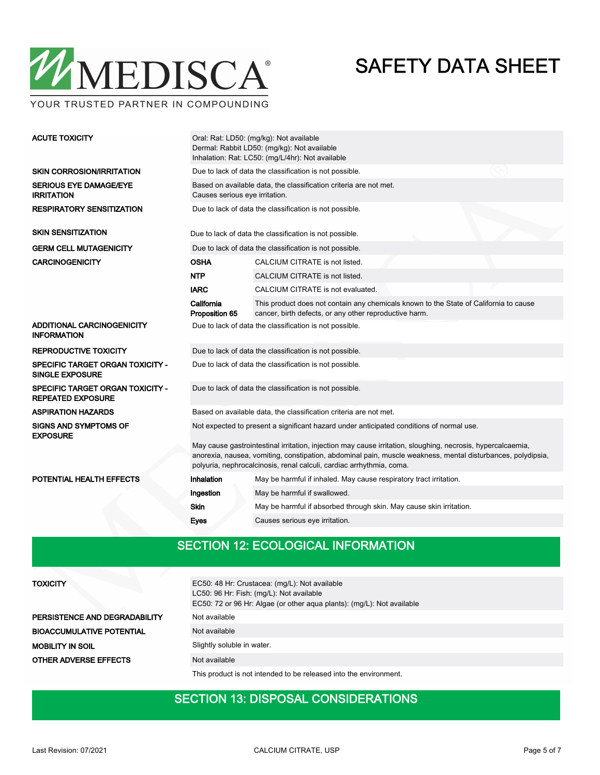

YOUR TRUSTED PARTNER IN COMPOUNDING

| <b>ACUTE TOXICITY</b>                                               | Oral: Rat: LD50: (mg/kg): Not available<br>Dermal: Rabbit LD50: (mg/kg): Not available<br>Inhalation: Rat: LC50: (mg/L/4hr): Not available                                                                                                                                                         |                                                                                                                                                 |  |  |  |  |  |
|---------------------------------------------------------------------|----------------------------------------------------------------------------------------------------------------------------------------------------------------------------------------------------------------------------------------------------------------------------------------------------|-------------------------------------------------------------------------------------------------------------------------------------------------|--|--|--|--|--|
| <b>SKIN CORROSION/IRRITATION</b>                                    | Due to lack of data the classification is not possible.                                                                                                                                                                                                                                            |                                                                                                                                                 |  |  |  |  |  |
| <b>SERIOUS EYE DAMAGE/EYE</b><br><b>IRRITATION</b>                  | Based on available data, the classification criteria are not met.<br>Causes serious eye irritation.                                                                                                                                                                                                |                                                                                                                                                 |  |  |  |  |  |
| <b>RESPIRATORY SENSITIZATION</b>                                    | Due to lack of data the classification is not possible.                                                                                                                                                                                                                                            |                                                                                                                                                 |  |  |  |  |  |
| <b>SKIN SENSITIZATION</b>                                           |                                                                                                                                                                                                                                                                                                    | Due to lack of data the classification is not possible.                                                                                         |  |  |  |  |  |
| <b>GERM CELL MUTAGENICITY</b>                                       |                                                                                                                                                                                                                                                                                                    | Due to lack of data the classification is not possible.                                                                                         |  |  |  |  |  |
| <b>CARCINOGENICITY</b>                                              | <b>OSHA</b>                                                                                                                                                                                                                                                                                        | CALCIUM CITRATE is not listed.                                                                                                                  |  |  |  |  |  |
|                                                                     | <b>NTP</b>                                                                                                                                                                                                                                                                                         | CALCIUM CITRATE is not listed.                                                                                                                  |  |  |  |  |  |
|                                                                     | <b>IARC</b>                                                                                                                                                                                                                                                                                        | CALCIUM CITRATE is not evaluated.                                                                                                               |  |  |  |  |  |
|                                                                     | California<br>Proposition 65                                                                                                                                                                                                                                                                       | This product does not contain any chemicals known to the State of California to cause<br>cancer, birth defects, or any other reproductive harm. |  |  |  |  |  |
| ADDITIONAL CARCINOGENICITY<br><b>INFORMATION</b>                    |                                                                                                                                                                                                                                                                                                    | Due to lack of data the classification is not possible.                                                                                         |  |  |  |  |  |
| <b>REPRODUCTIVE TOXICITY</b>                                        | Due to lack of data the classification is not possible.                                                                                                                                                                                                                                            |                                                                                                                                                 |  |  |  |  |  |
| <b>SPECIFIC TARGET ORGAN TOXICITY -</b><br><b>SINGLE EXPOSURE</b>   | Due to lack of data the classification is not possible.                                                                                                                                                                                                                                            |                                                                                                                                                 |  |  |  |  |  |
| <b>SPECIFIC TARGET ORGAN TOXICITY -</b><br><b>REPEATED EXPOSURE</b> |                                                                                                                                                                                                                                                                                                    | Due to lack of data the classification is not possible.                                                                                         |  |  |  |  |  |
| <b>ASPIRATION HAZARDS</b>                                           |                                                                                                                                                                                                                                                                                                    | Based on available data, the classification criteria are not met.                                                                               |  |  |  |  |  |
| <b>SIGNS AND SYMPTOMS OF</b><br><b>EXPOSURE</b>                     | Not expected to present a significant hazard under anticipated conditions of normal use.                                                                                                                                                                                                           |                                                                                                                                                 |  |  |  |  |  |
|                                                                     | May cause gastrointestinal irritation, injection may cause irritation, sloughing, necrosis, hypercalcaemia,<br>anorexia, nausea, vomiting, constipation, abdominal pain, muscle weakness, mental disturbances, polydipsia,<br>polyuria, nephrocalcinosis, renal calculi, cardiac arrhythmia, coma. |                                                                                                                                                 |  |  |  |  |  |
| POTENTIAL HEALTH EFFECTS                                            | Inhalation                                                                                                                                                                                                                                                                                         | May be harmful if inhaled. May cause respiratory tract irritation.                                                                              |  |  |  |  |  |
|                                                                     | Ingestion                                                                                                                                                                                                                                                                                          | May be harmful if swallowed.                                                                                                                    |  |  |  |  |  |
|                                                                     | <b>Skin</b>                                                                                                                                                                                                                                                                                        | May be harmful if absorbed through skin. May cause skin irritation.                                                                             |  |  |  |  |  |
|                                                                     | Eyes                                                                                                                                                                                                                                                                                               | Causes serious eye irritation.                                                                                                                  |  |  |  |  |  |
|                                                                     |                                                                                                                                                                                                                                                                                                    |                                                                                                                                                 |  |  |  |  |  |

### SECTION 12: ECOLOGICAL INFORMATION

| <b>TOXICITY</b>                  | EC50: 48 Hr: Crustacea: (mg/L): Not available<br>LC50: 96 Hr: Fish: (mg/L): Not available<br>EC50: 72 or 96 Hr: Algae (or other aqua plants): (mg/L): Not available |
|----------------------------------|---------------------------------------------------------------------------------------------------------------------------------------------------------------------|
| PERSISTENCE AND DEGRADABILITY    | Not available                                                                                                                                                       |
| <b>BIOACCUMULATIVE POTENTIAL</b> | Not available                                                                                                                                                       |
| <b>MOBILITY IN SOIL</b>          | Slightly soluble in water.                                                                                                                                          |
| <b>OTHER ADVERSE EFFECTS</b>     | Not available                                                                                                                                                       |
|                                  | This product is not intended to be released into the environment.                                                                                                   |

### SECTION 13: DISPOSAL CONSIDERATIONS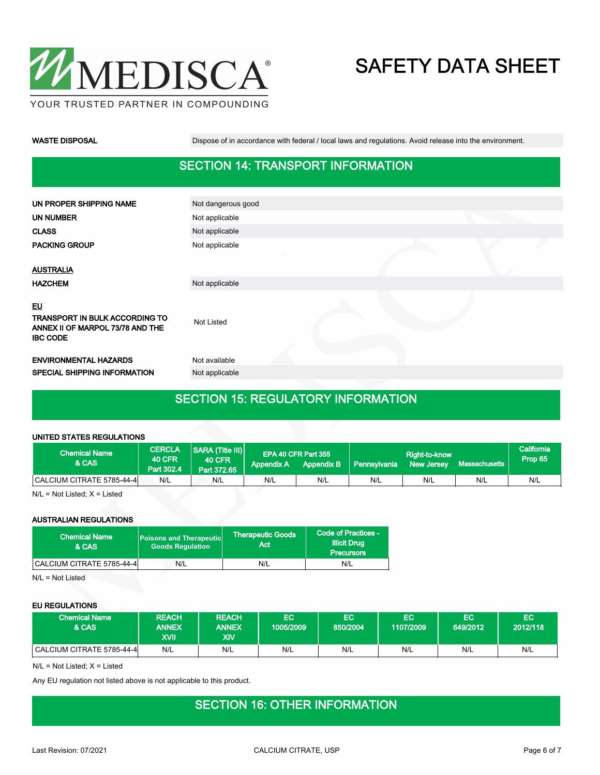

WASTE DISPOSAL **Dispose of in accordance with federal** / local laws and regulations. Avoid release into the environment.

### SECTION 14: TRANSPORT INFORMATION

| UN PROPER SHIPPING NAME                                                                            | Not dangerous good |  |  |
|----------------------------------------------------------------------------------------------------|--------------------|--|--|
| UN NUMBER                                                                                          | Not applicable     |  |  |
| <b>CLASS</b>                                                                                       | Not applicable     |  |  |
| <b>PACKING GROUP</b>                                                                               | Not applicable     |  |  |
|                                                                                                    |                    |  |  |
| <b>AUSTRALIA</b>                                                                                   |                    |  |  |
| <b>HAZCHEM</b>                                                                                     | Not applicable     |  |  |
| <u>EU</u><br>TRANSPORT IN BULK ACCORDING TO<br>ANNEX II OF MARPOL 73/78 AND THE<br><b>IBC CODE</b> | <b>Not Listed</b>  |  |  |
| <b>ENVIRONMENTAL HAZARDS</b>                                                                       | Not available      |  |  |
| SPECIAL SHIPPING INFORMATION                                                                       | Not applicable     |  |  |
|                                                                                                    |                    |  |  |

### SECTION 15: REGULATORY INFORMATION

#### UNITED STATES REGULATIONS

| <b>Chemical Name</b><br>& CAS | <b>CERCLA</b><br><b>40 CFR</b><br>Part 302.4 | SARA (Title III)<br><b>40 CFR</b><br>Part 372.65 | Appendix A | EPA 40 CFR Part 355 | Appendix B   Pennsylvania | Right-to-know<br>New Jersey | Massachusetts | California<br>Prop 65 |
|-------------------------------|----------------------------------------------|--------------------------------------------------|------------|---------------------|---------------------------|-----------------------------|---------------|-----------------------|
| CALCIUM CITRATE 5785-44-4     | N/L                                          | N/L                                              | N/L        | N/L                 | N/L                       | N/L                         | N/L           | N/L                   |

N/L = Not Listed; X = Listed

#### AUSTRALIAN REGULATIONS

| <b>Chemical Name</b><br>& CAS | <b>Poisons and Therapeutic</b><br><b>Goods Requlation</b> | <b>Therapeutic Goods</b><br>Act | Code of Practices -<br><b>Illicit Drug</b><br><b>Precursors</b> |  |
|-------------------------------|-----------------------------------------------------------|---------------------------------|-----------------------------------------------------------------|--|
| CALCIUM CITRATE 5785-44-4     | N/L                                                       | N/L                             | N/L                                                             |  |

N/L = Not Listed

#### EU REGULATIONS

| <b>Chemical Name</b><br>& CAS | <b>REACH</b><br><b>ANNEX</b><br>XVII | <b>REACH</b><br><b>ANNEX</b><br>XIV | EC<br>1005/2009 | <b>EC</b><br>850/2004 | EC<br>1107/2009 | EC<br>649/2012 | EC<br>2012/118 |
|-------------------------------|--------------------------------------|-------------------------------------|-----------------|-----------------------|-----------------|----------------|----------------|
| CALCIUM CITRATE 5785-44-4     | N/L                                  | N/L                                 | N/L             | N/L                   | N/L             | N/L            | N/L            |

N/L = Not Listed; X = Listed

Any EU regulation not listed above is not applicable to this product.

#### SECTION 16: OTHER INFORMATION